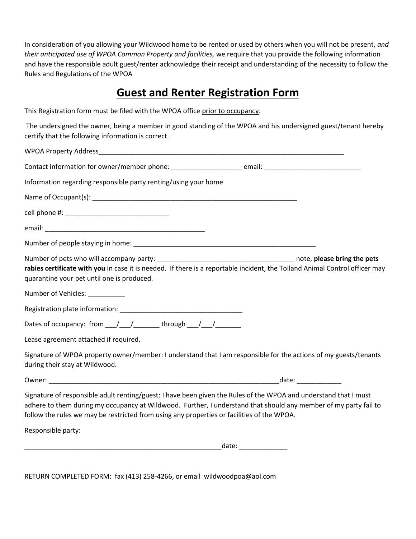In consideration of you allowing your Wildwood home to be rented or used by others when you will not be present, *and their anticipated use of WPOA Common Property and facilities,* we require that you provide the following information and have the responsible adult guest/renter acknowledge their receipt and understanding of the necessity to follow the Rules and Regulations of the WPOA

# **Guest and Renter Registration Form**

This Registration form must be filed with the WPOA office prior to occupancy.

The undersigned the owner, being a member in good standing of the WPOA and his undersigned guest/tenant hereby certify that the following information is correct..

| Information regarding responsible party renting/using your home                                                                                                                                                                                                                                                                    |
|------------------------------------------------------------------------------------------------------------------------------------------------------------------------------------------------------------------------------------------------------------------------------------------------------------------------------------|
|                                                                                                                                                                                                                                                                                                                                    |
|                                                                                                                                                                                                                                                                                                                                    |
|                                                                                                                                                                                                                                                                                                                                    |
|                                                                                                                                                                                                                                                                                                                                    |
| rabies certificate with you in case it is needed. If there is a reportable incident, the Tolland Animal Control officer may<br>quarantine your pet until one is produced.                                                                                                                                                          |
| Number of Vehicles: __________                                                                                                                                                                                                                                                                                                     |
|                                                                                                                                                                                                                                                                                                                                    |
| Dates of occupancy: from ___/ ___/ _________ through ___/ ___/ ________                                                                                                                                                                                                                                                            |
| Lease agreement attached if required.                                                                                                                                                                                                                                                                                              |
| Signature of WPOA property owner/member: I understand that I am responsible for the actions of my guests/tenants<br>during their stay at Wildwood.                                                                                                                                                                                 |
|                                                                                                                                                                                                                                                                                                                                    |
| Signature of responsible adult renting/guest: I have been given the Rules of the WPOA and understand that I must<br>adhere to them during my occupancy at Wildwood. Further, I understand that should any member of my party fail to<br>follow the rules we may be restricted from using any properties or facilities of the WPOA. |
| Responsible party:                                                                                                                                                                                                                                                                                                                 |

\_\_\_\_\_\_\_\_\_\_\_\_\_\_\_\_\_\_\_\_\_\_\_\_\_\_\_\_\_\_\_\_\_\_\_\_\_\_\_\_\_\_\_\_\_\_\_\_\_\_\_\_\_date: \_\_\_\_\_\_\_\_\_\_\_\_\_

RETURN COMPLETED FORM: fax (413) 258-4266, or email wildwoodpoa@aol.com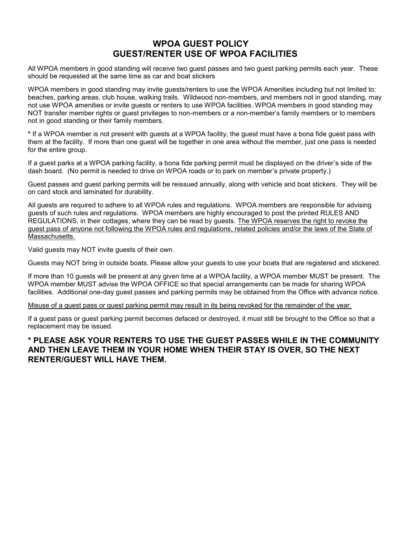# **WPOA GUEST POLICY GUEST/RENTER USE OF WPOA FACILITIES**

All WPOA members in good standing will receive two guest passes and two guest parking permits each year. These should be requested at the same time as car and boat stickers

WPOA members in good standing may invite guests/renters to use the WPOA Amenities including but not limited to: beaches, parking areas, club house, walking trails. Wildwood non-members, and members not in good standing, may not use WPOA amenities or invite guests or renters to use WPOA facilities. WPOA members in good standing may NOT transfer member rights or guest privileges to non-members or a non-member's family members or to members not in good standing or their family members.

**\*** If a WPOA member is not present with guests at a WPOA facility, the guest must have a bona fide guest pass with them at the facility. If more than one guest will be together in one area without the member, just one pass is needed for the entire group.

If a guest parks at a WPOA parking facility, a bona fide parking permit must be displayed on the driver's side of the dash board. (No permit is needed to drive on WPOA roads or to park on member's private property.)

Guest passes and guest parking permits will be reissued annually, along with vehicle and boat stickers. They will be on card stock and laminated for durability.

All guests are required to adhere to all WPOA rules and regulations. WPOA members are responsible for advising guests of such rules and regulations. WPOA members are highly encouraged to post the printed RULES AND REGULATIONS, in their cottages, where they can be read by guests. The WPOA reserves the right to revoke the guest pass of anyone not following the WPOA rules and regulations, related policies and/or the laws of the State of Massachusetts.

Valid guests may NOT invite guests of their own.

Guests may NOT bring in outside boats. Please allow your guests to use your boats that are registered and stickered.

If more than 10 guests will be present at any given time at a WPOA facility, a WPOA member MUST be present. The WPOA member MUST advise the WPOA OFFICE so that special arrangements can be made for sharing WPOA facilities. Additional one-day guest passes and parking permits may be obtained from the Office with advance notice.

Misuse of a guest pass or guest parking permit may result in its being revoked for the remainder of the year.

If a guest pass or guest parking permit becomes defaced or destroyed, it must still be brought to the Office so that a replacement may be issued.

# **\* PLEASE ASK YOUR RENTERS TO USE THE GUEST PASSES WHILE IN THE COMMUNITY AND THEN LEAVE THEM IN YOUR HOME WHEN THEIR STAY IS OVER, SO THE NEXT RENTER/GUEST WILL HAVE THEM.**